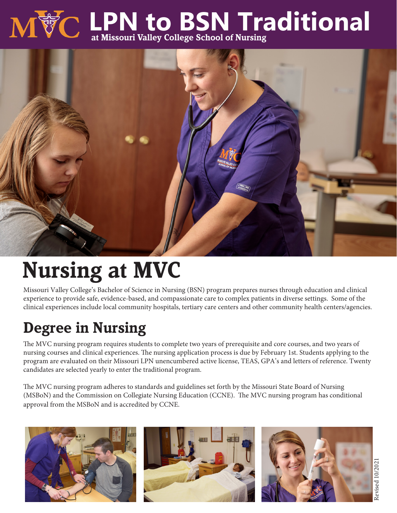# **LPN to BSN Traditional at Missouri Valley College School of Nursing**



# **Nursing at MVC**

Missouri Valley College's Bachelor of Science in Nursing (BSN) program prepares nurses through education and clinical experience to provide safe, evidence-based, and compassionate care to complex patients in diverse settings. Some of the clinical experiences include local community hospitals, tertiary care centers and other community health centers/agencies.

## **Degree in Nursing**

The MVC nursing program requires students to complete two years of prerequisite and core courses, and two years of nursing courses and clinical experiences. The nursing application process is due by February 1st. Students applying to the program are evaluated on their Missouri LPN unencumbered active license, TEAS, GPA's and letters of reference. Twenty candidates are selected yearly to enter the traditional program.

The MVC nursing program adheres to standards and guidelines set forth by the Missouri State Board of Nursing (MSBoN) and the Commission on Collegiate Nursing Education (CCNE). The MVC nursing program has conditional approval from the MSBoN and is accredited by CCNE.